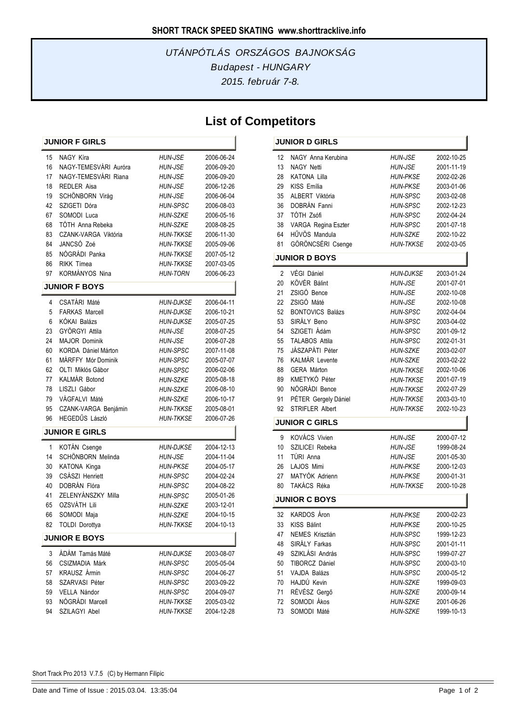### *2015. február 7-8. Budapest - HUNGARY UTÁNPÓTLÁS ORSZÁGOS BAJNOKSÁG*

## **List of Competitors**

í.

| <b>JUNIOR F GIRLS</b> |                                |                  |                          |  |  |
|-----------------------|--------------------------------|------------------|--------------------------|--|--|
| 15                    | NAGY Kíra                      | <b>HUN-JSE</b>   | 2006-06-24               |  |  |
| 16                    | NAGY-TEMESVÁRI Auróra          | <b>HUN-JSE</b>   | 2006-09-20               |  |  |
| 17                    | NAGY-TEMESVÁRI Riana           | <b>HUN-JSE</b>   | 2006-09-20               |  |  |
| 18                    | REDLER Aisa                    | <b>HUN-JSE</b>   | 2006-12-26               |  |  |
| 19                    | SCHÖNBORN Virág                | <b>HUN-JSE</b>   | 2006-06-04               |  |  |
| 42                    | SZIGETI Dóra                   | <b>HUN-SPSC</b>  | 2006-08-03               |  |  |
| 67                    | SOMODI Luca                    | <b>HUN-SZKE</b>  | 2006-05-16               |  |  |
| 68                    | TÓTH Anna Rebeka               | <b>HUN-SZKE</b>  | 2008-08-25               |  |  |
| 83                    | CZANK-VARGA Viktória           | <b>HUN-TKKSE</b> | 2006-11-30               |  |  |
| 84                    | JANCSÓ Zoé                     | <b>HUN-TKKSE</b> | 2005-09-06               |  |  |
| 85                    | NÓGRÁDI Panka                  | <b>HUN-TKKSE</b> | 2007-05-12               |  |  |
| 86                    | RIKK Tímea                     | HUN-TKKSE        | 2007-03-05               |  |  |
| 97                    | KORMÁNYOS Nina                 | <b>HUN-TORN</b>  | 2006-06-23               |  |  |
|                       | <b>JUNIOR F BOYS</b>           |                  |                          |  |  |
| 4                     | <b>CSATÁRI Máté</b>            | <b>HUN-DJKSE</b> | 2006-04-11               |  |  |
| 5                     | <b>FARKAS Marcell</b>          | <b>HUN-DJKSE</b> | 2006-10-21               |  |  |
| 6                     | KÓKAI Balázs                   | <b>HUN-DJKSE</b> | 2005-07-25               |  |  |
| 23                    | GYÖRGYI Attila                 | <b>HUN-JSE</b>   | 2008-07-25               |  |  |
| 24                    | <b>MAJOR Dominik</b>           | <b>HUN-JSE</b>   | 2006-07-28               |  |  |
| 60                    | <b>KORDA Dániel Márton</b>     | <b>HUN-SPSC</b>  | 2007-11-08               |  |  |
| 61                    | MÁRFFY Mór Dominik             | <b>HUN-SPSC</b>  | 2005-07-07               |  |  |
| 62                    | OLTI Miklós Gábor              | <b>HUN-SPSC</b>  | 2006-02-06               |  |  |
| 77                    | KALMÁR Botond                  | HUN-SZKE         | 2005-08-18               |  |  |
| 78                    | LISZLI Gábor                   | <b>HUN-SZKE</b>  | 2006-08-10               |  |  |
| 79                    | VÁGFALVI Máté                  | <b>HUN-SZKE</b>  | 2006-10-17               |  |  |
| 95                    | CZANK-VARGA Benjámin           | <b>HUN-TKKSE</b> | 2005-08-01               |  |  |
| 96                    | HEGEDŰS László                 | <b>HUN-TKKSE</b> | 2006-07-26               |  |  |
|                       | <b>JUNIOR E GIRLS</b>          |                  |                          |  |  |
| 1                     | KOTÁN Csenge                   | <b>HUN-DJKSE</b> | 2004-12-13               |  |  |
| 14                    | SCHÖNBORN Melinda              | <b>HUN-JSE</b>   | 2004-11-04               |  |  |
| 30                    | KATONA Kinga                   | <b>HUN-PKSE</b>  | 2004-05-17               |  |  |
| 39                    | CSÁSZI Henriett                | <b>HUN-SPSC</b>  | 2004-02-24               |  |  |
| 40                    | DOBRÁN Flóra                   | <b>HUN-SPSC</b>  | 2004-08-22               |  |  |
| 41                    | ZELENYÁNSZKY Milla             | <b>HUN-SPSC</b>  | 2005-01-26               |  |  |
| 65                    | OZSVÁTH Lili                   | <b>HUN-SZKE</b>  | 2003-12-01               |  |  |
| 66                    | SOMODI Maja                    | <b>HUN-SZKE</b>  | 2004-10-15               |  |  |
|                       | 82 TOLDI Dorottya              | <b>HUN-TKKSE</b> | 2004-10-13               |  |  |
|                       | <b>JUNIOR E BOYS</b>           |                  |                          |  |  |
|                       | ÁDÁM Tamás Máté                |                  | 2003-08-07               |  |  |
| 3                     | <b>CSIZMADIA Márk</b>          | HUN-DJKSE        |                          |  |  |
| 56                    |                                | <b>HUN-SPSC</b>  | 2005-05-04               |  |  |
| 57                    | KRAUSZ Ármin                   | HUN-SPSC         | 2004-06-27               |  |  |
| 58<br>59              | SZARVASI Péter<br>VELLA Nándor | <b>HUN-SPSC</b>  | 2003-09-22               |  |  |
| 93                    | NÓGRÁDI Marcell                | <b>HUN-SPSC</b>  | 2004-09-07               |  |  |
| 94                    | SZILAGYI Abel                  | <b>HUN-TKKSE</b> | 2005-03-02<br>2004-12-28 |  |  |
|                       |                                | <b>HUN-TKKSE</b> |                          |  |  |

#### **JUNIOR D GIRLS** NAGY Anna Kerubina *HUN-JSE* 2002-10-25 NAGY Netti *HUN-JSE* 2001-11-19 KATONA Lilla *HUN-PKSE* 2002-02-26 KISS Emília *HUN-PKSE* 2003-01-06 ALBERT Viktória *HUN-SPSC* 2003-02-08 DOBRÁN Fanni *HUN-SPSC* 2002-12-23 TÓTH Zsófi *HUN-SPSC* 2002-04-24 VARGA Regina Eszter *HUN-SPSC* 2001-07-18 HŰVÖS Mandula *HUN-SZKE* 2002-10-22 GÖRÖNCSÉRI Csenge *HUN-TKKSE* 2002-03-05 **JUNIOR D BOYS**

| $\overline{2}$ | VÉGI Dániel             | <b>HUN-DJKSE</b> | 2003-01-24 |
|----------------|-------------------------|------------------|------------|
| 20             | KÖVÉR Bálint            | <b>HUN-JSE</b>   | 2001-07-01 |
| 21             | ZSIGÓ Bence             | <b>HUN-JSE</b>   | 2002-10-08 |
| 22             | ZSIGÓ Máté              | <b>HUN-JSE</b>   | 2002-10-08 |
| 52             | <b>BONTOVICS Balázs</b> | <b>HUN-SPSC</b>  | 2002-04-04 |
| 53             | SIRÁLY Beno             | <b>HUN-SPSC</b>  | 2003-04-02 |
| 54             | SZIGETI Ádám            | <b>HUN-SPSC</b>  | 2001-09-12 |
| 55             | <b>TALABOS Attila</b>   | <b>HUN-SPSC</b>  | 2002-01-31 |
| 75             | JÁSZAPÁTI Péter         | <b>HUN-SZKE</b>  | 2003-02-07 |
| 76             | KALMÁR Levente          | <b>HUN-SZKE</b>  | 2003-02-22 |
| 88             | <b>GERA Márton</b>      | <b>HUN-TKKSE</b> | 2002-10-06 |
| 89             | KMETYKÓ Péter           | <b>HUN-TKKSE</b> | 2001-07-19 |
| 90             | NÓGRÁDI Bence           | <b>HUN-TKKSE</b> | 2002-07-29 |
| 91             | PÉTER Gergely Dániel    | <b>HUN-TKKSE</b> | 2003-03-10 |
| 92             | <b>STRIFLER Albert</b>  | <b>HUN-TKKSE</b> | 2002-10-23 |
|                | <b>JUNIOR C GIRLS</b>   |                  |            |
| 9              | <b>KOVÁCS Vivien</b>    | <b>HUN-JSE</b>   | 2000-07-12 |
|                |                         |                  |            |
| 10             | SZILICEI Rebeka         | <b>HUN-JSE</b>   | 1999-08-24 |
| 11             | TÚRI Anna               | <b>HUN-JSE</b>   | 2001-05-30 |
| 26             | LAJOS Mimi              | <b>HUN-PKSE</b>  | 2000-12-03 |
| 27             | MATYÓK Adrienn          | <b>HUN-PKSE</b>  | 2000-01-31 |
| 80             | TAKÁCS Réka             | <b>HUN-TKKSE</b> | 2000-10-28 |
|                | <b>JUNIOR C BOYS</b>    |                  |            |
| 32             | <b>KARDOS Áron</b>      | <b>HUN-PKSE</b>  | 2000-02-23 |
| 33             | <b>KISS Bálint</b>      | <b>HUN-PKSE</b>  | 2000-10-25 |
| 47             | NEMES Krisztián         | <b>HUN-SPSC</b>  | 1999-12-23 |
| 48             | SIRÁLY Farkas           | <b>HUN-SPSC</b>  | 2001-01-11 |
| 49             | SZIKLÁSI András         | <b>HUN-SPSC</b>  | 1999-07-27 |
| 50             | TIBORCZ Dániel          | <b>HUN-SPSC</b>  | 2000-03-10 |
| 51             | <b>VAJDA Balázs</b>     | <b>HUN-SPSC</b>  | 2000-05-12 |
| 70             | HAJDÚ Kevin             | <b>HUN-SZKE</b>  | 1999-09-03 |
| 71             | RÉVÉSZ Gergő            | <b>HUN-SZKE</b>  | 2000-09-14 |
| 72             | SOMODI Ákos             | <b>HUN-SZKE</b>  | 2001-06-26 |

Short Track Pro 2013 V.7.5 (C) by Hermann Filipic